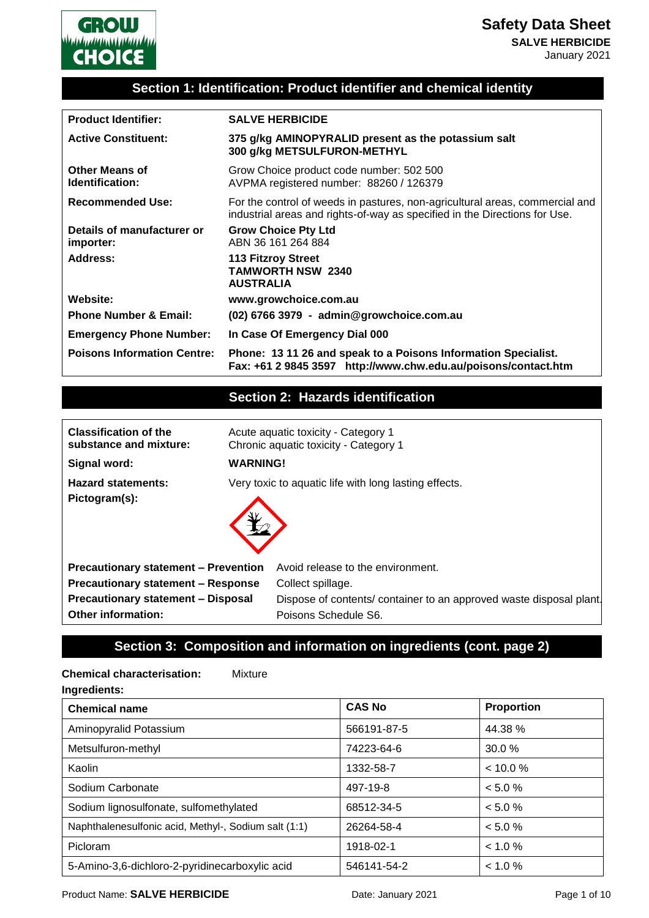

# **Section 1: Identification: Product identifier and chemical identity**

| <b>Product Identifier:</b>               | <b>SALVE HERBICIDE</b>                                                                                                                                     |
|------------------------------------------|------------------------------------------------------------------------------------------------------------------------------------------------------------|
| <b>Active Constituent:</b>               | 375 g/kg AMINOPYRALID present as the potassium salt<br>300 g/kg METSULFURON-METHYL                                                                         |
| <b>Other Means of</b><br>Identification: | Grow Choice product code number: 502 500<br>AVPMA registered number: 88260 / 126379                                                                        |
| <b>Recommended Use:</b>                  | For the control of weeds in pastures, non-agricultural areas, commercial and<br>industrial areas and rights-of-way as specified in the Directions for Use. |
| Details of manufacturer or<br>importer:  | <b>Grow Choice Pty Ltd</b><br>ABN 36 161 264 884                                                                                                           |
| Address:                                 | <b>113 Fitzroy Street</b><br><b>TAMWORTH NSW 2340</b><br><b>AUSTRALIA</b>                                                                                  |
| <b>Website:</b>                          | www.growchoice.com.au                                                                                                                                      |
| <b>Phone Number &amp; Email:</b>         | (02) 6766 3979 - admin@growchoice.com.au                                                                                                                   |
| <b>Emergency Phone Number:</b>           | In Case Of Emergency Dial 000                                                                                                                              |
| <b>Poisons Information Centre:</b>       | Phone: 13 11 26 and speak to a Poisons Information Specialist.<br>Fax: +61 2 9845 3597 http://www.chw.edu.au/poisons/contact.htm                           |

# **Section 2: Hazards identification**

| <b>Classification of the</b><br>substance and mixture: | Acute aquatic toxicity - Category 1<br>Chronic aquatic toxicity - Category 1 |  |
|--------------------------------------------------------|------------------------------------------------------------------------------|--|
| Signal word:                                           | <b>WARNING!</b>                                                              |  |
| <b>Hazard statements:</b><br>Pictogram(s):             | Very toxic to aquatic life with long lasting effects.                        |  |
| <b>Precautionary statement - Prevention</b>            | Avoid release to the environment.                                            |  |
| <b>Precautionary statement - Response</b>              | Collect spillage.                                                            |  |
| <b>Precautionary statement - Disposal</b>              | Dispose of contents/ container to an approved waste disposal plant.          |  |
| <b>Other information:</b>                              | Poisons Schedule S6.                                                         |  |

# **Section 3: Composition and information on ingredients (cont. page 2)**

# **Chemical characterisation:** Mixture **Ingredients: Chemical name CAS No Proportion** Aminopyralid Potassium  $\begin{array}{|c|c|c|c|c|c|c|c|c|} \hline \text{Aminopyralid Potassium} & 566191-87-5  $\text{A}44.38 \% \hline \end{array}$$ Metsulfuron-methyl 30.0 % Kaolin 1332-58-7 < 10.0 % Sodium Carbonate  $|497-19-8| < 5.0 %$ Sodium lignosulfonate, sulfomethylated 68512-34-5  $\sim$  68512-34-5 Naphthalenesulfonic acid, Methyl-, Sodium salt (1:1)  $\left| \right|$  26264-58-4  $\left|$  < 5.0 % Picloram 1918-02-1 < 1.0 % 5-Amino-3,6-dichloro-2-pyridinecarboxylic acid 546141-54-2 < 1.0 %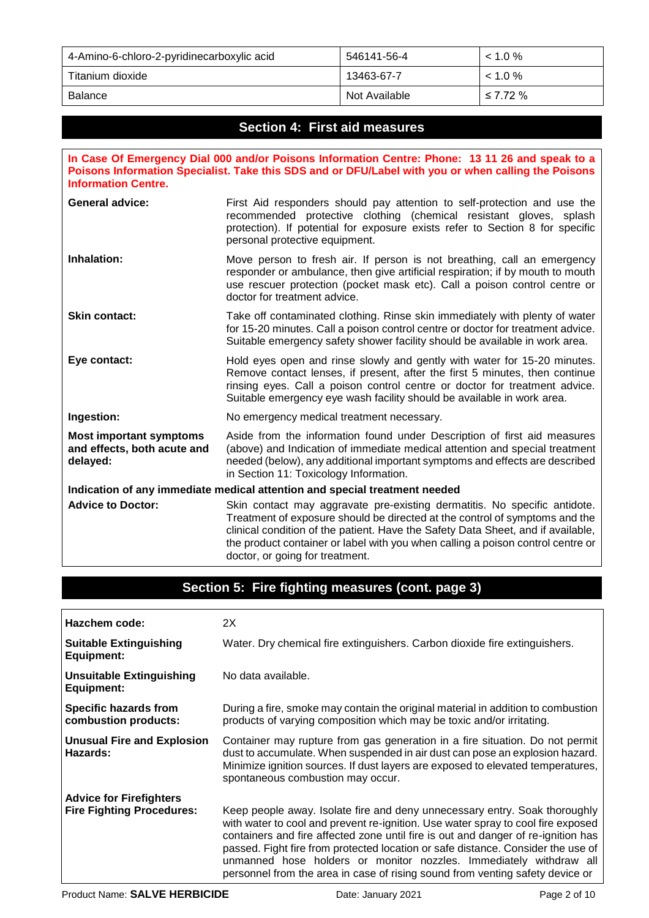| 4-Amino-6-chloro-2-pyridinecarboxylic acid | 546141-56-4   | $< 1.0 \%$    |
|--------------------------------------------|---------------|---------------|
| Titanium dioxide                           | 13463-67-7    | $1.0\%$       |
| <b>Balance</b>                             | Not Available | $\leq 7.72\%$ |

## **Section 4: First aid measures**

**In Case Of Emergency Dial 000 and/or Poisons Information Centre: Phone: 13 11 26 and speak to a Poisons Information Specialist. Take this SDS and or DFU/Label with you or when calling the Poisons Information Centre. General advice:** First Aid responders should pay attention to self-protection and use the recommended protective clothing (chemical resistant gloves, splash protection). If potential for exposure exists refer to Section 8 for specific personal protective equipment. **Inhalation:** Move person to fresh air. If person is not breathing, call an emergency responder or ambulance, then give artificial respiration; if by mouth to mouth use rescuer protection (pocket mask etc). Call a poison control centre or doctor for treatment advice. **Skin contact:** Take off contaminated clothing. Rinse skin immediately with plenty of water for 15-20 minutes. Call a poison control centre or doctor for treatment advice. Suitable emergency safety shower facility should be available in work area. **Eye contact:** Hold eyes open and rinse slowly and gently with water for 15-20 minutes.

Remove contact lenses, if present, after the first 5 minutes, then continue rinsing eyes. Call a poison control centre or doctor for treatment advice. Suitable emergency eye wash facility should be available in work area.

**Ingestion:** No emergency medical treatment necessary.

**Most important symptoms and effects, both acute and delayed:** Aside from the information found under Description of first aid measures (above) and Indication of immediate medical attention and special treatment needed (below), any additional important symptoms and effects are described in Section 11: Toxicology Information.

**Indication of any immediate medical attention and special treatment needed** Advice to Doctor: Skin contact may aggravate pre-existing dermatitis. No specific antidote. Treatment of exposure should be directed at the control of symptoms and the clinical condition of the patient. Have the Safety Data Sheet, and if available, the product container or label with you when calling a poison control centre or doctor, or going for treatment.

### **Section 5: Fire fighting measures (cont. page 3)**

| Hazchem code:                                        | 2X                                                                                                                                                                                                                                                                                                                                                                                                                                                                                             |
|------------------------------------------------------|------------------------------------------------------------------------------------------------------------------------------------------------------------------------------------------------------------------------------------------------------------------------------------------------------------------------------------------------------------------------------------------------------------------------------------------------------------------------------------------------|
| <b>Suitable Extinguishing</b><br><b>Equipment:</b>   | Water. Dry chemical fire extinguishers. Carbon dioxide fire extinguishers.                                                                                                                                                                                                                                                                                                                                                                                                                     |
| <b>Unsuitable Extinguishing</b><br><b>Equipment:</b> | No data available.                                                                                                                                                                                                                                                                                                                                                                                                                                                                             |
| <b>Specific hazards from</b><br>combustion products: | During a fire, smoke may contain the original material in addition to combustion<br>products of varying composition which may be toxic and/or irritating.                                                                                                                                                                                                                                                                                                                                      |
| <b>Unusual Fire and Explosion</b><br>Hazards:        | Container may rupture from gas generation in a fire situation. Do not permit<br>dust to accumulate. When suspended in air dust can pose an explosion hazard.<br>Minimize ignition sources. If dust layers are exposed to elevated temperatures,<br>spontaneous combustion may occur.                                                                                                                                                                                                           |
| <b>Advice for Firefighters</b>                       |                                                                                                                                                                                                                                                                                                                                                                                                                                                                                                |
| <b>Fire Fighting Procedures:</b>                     | Keep people away. Isolate fire and deny unnecessary entry. Soak thoroughly<br>with water to cool and prevent re-ignition. Use water spray to cool fire exposed<br>containers and fire affected zone until fire is out and danger of re-ignition has<br>passed. Fight fire from protected location or safe distance. Consider the use of<br>unmanned hose holders or monitor nozzles. Immediately withdraw all<br>personnel from the area in case of rising sound from venting safety device or |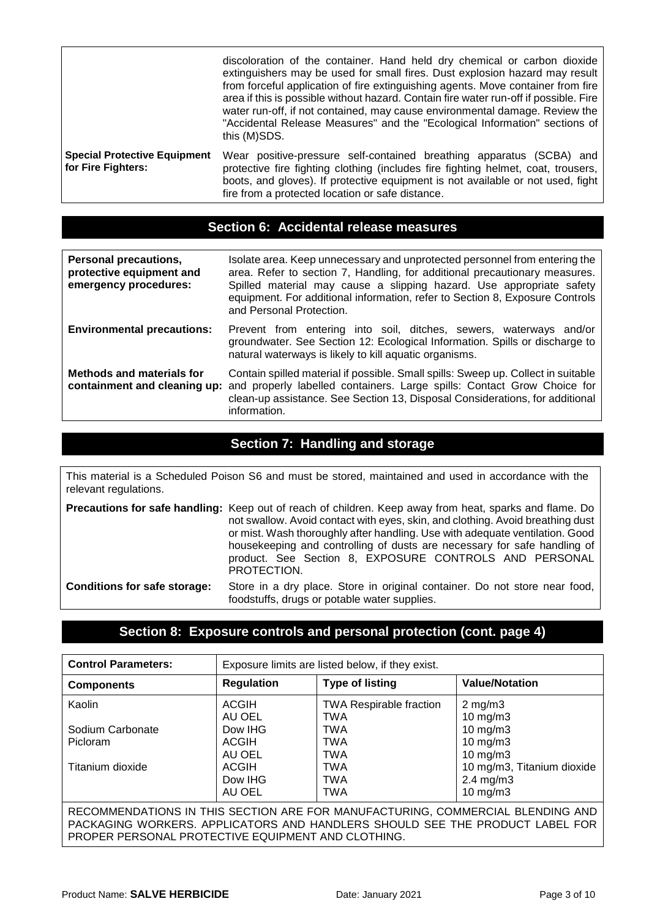|                                                           | discoloration of the container. Hand held dry chemical or carbon dioxide<br>extinguishers may be used for small fires. Dust explosion hazard may result<br>from forceful application of fire extinguishing agents. Move container from fire<br>area if this is possible without hazard. Contain fire water run-off if possible. Fire<br>water run-off, if not contained, may cause environmental damage. Review the<br>"Accidental Release Measures" and the "Ecological Information" sections of<br>this (M)SDS. |
|-----------------------------------------------------------|-------------------------------------------------------------------------------------------------------------------------------------------------------------------------------------------------------------------------------------------------------------------------------------------------------------------------------------------------------------------------------------------------------------------------------------------------------------------------------------------------------------------|
| <b>Special Protective Equipment</b><br>for Fire Fighters: | Wear positive-pressure self-contained breathing apparatus (SCBA) and<br>protective fire fighting clothing (includes fire fighting helmet, coat, trousers,<br>boots, and gloves). If protective equipment is not available or not used, fight<br>fire from a protected location or safe distance.                                                                                                                                                                                                                  |

# **Section 6: Accidental release measures**

| Personal precautions,<br>protective equipment and<br>emergency procedures: | Isolate area. Keep unnecessary and unprotected personnel from entering the<br>area. Refer to section 7, Handling, for additional precautionary measures.<br>Spilled material may cause a slipping hazard. Use appropriate safety<br>equipment. For additional information, refer to Section 8, Exposure Controls<br>and Personal Protection. |
|----------------------------------------------------------------------------|----------------------------------------------------------------------------------------------------------------------------------------------------------------------------------------------------------------------------------------------------------------------------------------------------------------------------------------------|
| <b>Environmental precautions:</b>                                          | Prevent from entering into soil, ditches, sewers, waterways and/or<br>groundwater. See Section 12: Ecological Information. Spills or discharge to<br>natural waterways is likely to kill aquatic organisms.                                                                                                                                  |
| <b>Methods and materials for</b><br>containment and cleaning up:           | Contain spilled material if possible. Small spills: Sweep up. Collect in suitable<br>and properly labelled containers. Large spills: Contact Grow Choice for<br>clean-up assistance. See Section 13, Disposal Considerations, for additional<br>information.                                                                                 |

# **Section 7: Handling and storage**

This material is a Scheduled Poison S6 and must be stored, maintained and used in accordance with the relevant regulations.

|                                     | <b>Precautions for safe handling:</b> Keep out of reach of children. Keep away from heat, sparks and flame. Do             |  |  |
|-------------------------------------|----------------------------------------------------------------------------------------------------------------------------|--|--|
|                                     | not swallow. Avoid contact with eyes, skin, and clothing. Avoid breathing dust                                             |  |  |
|                                     | or mist. Wash thoroughly after handling. Use with adequate ventilation. Good                                               |  |  |
|                                     | housekeeping and controlling of dusts are necessary for safe handling of                                                   |  |  |
|                                     | product. See Section 8, EXPOSURE CONTROLS AND PERSONAL<br>PROTECTION.                                                      |  |  |
| <b>Conditions for safe storage:</b> | Store in a dry place. Store in original container. Do not store near food,<br>foodstuffs, drugs or potable water supplies. |  |  |

# **Section 8: Exposure controls and personal protection (cont. page 4)**

| <b>Control Parameters:</b>                                                     | Exposure limits are listed below, if they exist. |                                |                            |
|--------------------------------------------------------------------------------|--------------------------------------------------|--------------------------------|----------------------------|
| <b>Components</b>                                                              | <b>Regulation</b>                                | <b>Type of listing</b>         | <b>Value/Notation</b>      |
| Kaolin                                                                         | <b>ACGIH</b>                                     | <b>TWA Respirable fraction</b> | $2 \text{ mg/m}$ 3         |
|                                                                                | AU OEL                                           | <b>TWA</b>                     | $10 \text{ mg/m}$ 3        |
| Sodium Carbonate                                                               | Dow IHG                                          | TWA                            | $10$ mg/m $3$              |
| Picloram                                                                       | <b>ACGIH</b>                                     | <b>TWA</b>                     | $10$ mg/m $3$              |
|                                                                                | AU OEL                                           | <b>TWA</b>                     | $10$ mg/m $3$              |
| Titanium dioxide                                                               | <b>ACGIH</b>                                     | <b>TWA</b>                     | 10 mg/m3, Titanium dioxide |
|                                                                                | Dow IHG                                          | TWA                            | $2.4 \text{ mg/m}$ 3       |
|                                                                                | AU OEL                                           | <b>TWA</b>                     | $10 \text{ mg/m}$ 3        |
| RECOMMENDATIONS IN THIS SECTION ARE FOR MANUFACTURING, COMMERCIAL BLENDING AND |                                                  |                                |                            |
| PACKAGING WORKERS. APPLICATORS AND HANDLERS SHOULD SEE THE PRODUCT LABEL FOR   |                                                  |                                |                            |
| PROPER PERSONAL PROTECTIVE EQUIPMENT AND CLOTHING.                             |                                                  |                                |                            |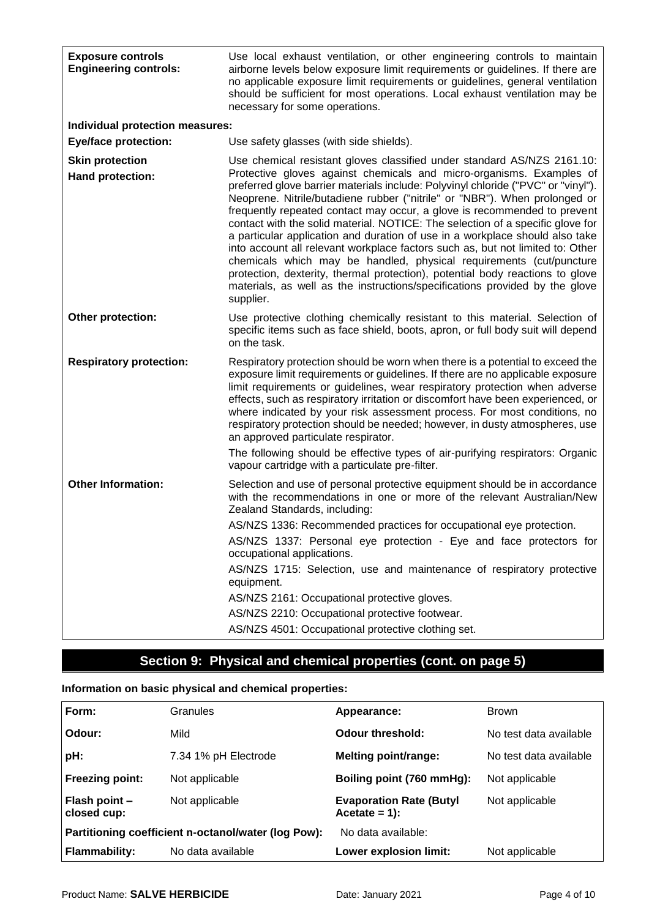| <b>Exposure controls</b><br><b>Engineering controls:</b> | Use local exhaust ventilation, or other engineering controls to maintain<br>airborne levels below exposure limit requirements or guidelines. If there are<br>no applicable exposure limit requirements or guidelines, general ventilation<br>should be sufficient for most operations. Local exhaust ventilation may be<br>necessary for some operations.                                                                                                                                                                                                                                                                                                                                                                                                                                                                                                                                              |
|----------------------------------------------------------|--------------------------------------------------------------------------------------------------------------------------------------------------------------------------------------------------------------------------------------------------------------------------------------------------------------------------------------------------------------------------------------------------------------------------------------------------------------------------------------------------------------------------------------------------------------------------------------------------------------------------------------------------------------------------------------------------------------------------------------------------------------------------------------------------------------------------------------------------------------------------------------------------------|
| <b>Individual protection measures:</b>                   |                                                                                                                                                                                                                                                                                                                                                                                                                                                                                                                                                                                                                                                                                                                                                                                                                                                                                                        |
| <b>Eye/face protection:</b>                              | Use safety glasses (with side shields).                                                                                                                                                                                                                                                                                                                                                                                                                                                                                                                                                                                                                                                                                                                                                                                                                                                                |
| <b>Skin protection</b><br>Hand protection:               | Use chemical resistant gloves classified under standard AS/NZS 2161.10:<br>Protective gloves against chemicals and micro-organisms. Examples of<br>preferred glove barrier materials include: Polyvinyl chloride ("PVC" or "vinyl").<br>Neoprene. Nitrile/butadiene rubber ("nitrile" or "NBR"). When prolonged or<br>frequently repeated contact may occur, a glove is recommended to prevent<br>contact with the solid material. NOTICE: The selection of a specific glove for<br>a particular application and duration of use in a workplace should also take<br>into account all relevant workplace factors such as, but not limited to: Other<br>chemicals which may be handled, physical requirements (cut/puncture<br>protection, dexterity, thermal protection), potential body reactions to glove<br>materials, as well as the instructions/specifications provided by the glove<br>supplier. |
| Other protection:                                        | Use protective clothing chemically resistant to this material. Selection of<br>specific items such as face shield, boots, apron, or full body suit will depend<br>on the task.                                                                                                                                                                                                                                                                                                                                                                                                                                                                                                                                                                                                                                                                                                                         |
| <b>Respiratory protection:</b>                           | Respiratory protection should be worn when there is a potential to exceed the<br>exposure limit requirements or guidelines. If there are no applicable exposure<br>limit requirements or guidelines, wear respiratory protection when adverse<br>effects, such as respiratory irritation or discomfort have been experienced, or<br>where indicated by your risk assessment process. For most conditions, no<br>respiratory protection should be needed; however, in dusty atmospheres, use<br>an approved particulate respirator.<br>The following should be effective types of air-purifying respirators: Organic<br>vapour cartridge with a particulate pre-filter.                                                                                                                                                                                                                                 |
| <b>Other Information:</b>                                | Selection and use of personal protective equipment should be in accordance<br>with the recommendations in one or more of the relevant Australian/New<br>Zealand Standards, including:<br>AS/NZS 1336: Recommended practices for occupational eye protection.<br>AS/NZS 1337: Personal eye protection - Eye and face protectors for<br>occupational applications.<br>AS/NZS 1715: Selection, use and maintenance of respiratory protective<br>equipment.<br>AS/NZS 2161: Occupational protective gloves.                                                                                                                                                                                                                                                                                                                                                                                                |
|                                                          | AS/NZS 2210: Occupational protective footwear.                                                                                                                                                                                                                                                                                                                                                                                                                                                                                                                                                                                                                                                                                                                                                                                                                                                         |
|                                                          | AS/NZS 4501: Occupational protective clothing set.                                                                                                                                                                                                                                                                                                                                                                                                                                                                                                                                                                                                                                                                                                                                                                                                                                                     |

# **Section 9: Physical and chemical properties (cont. on page 5)**

# **Information on basic physical and chemical properties:**

| Form:                                               | Granules             | Appearance:                                        | <b>Brown</b>           |
|-----------------------------------------------------|----------------------|----------------------------------------------------|------------------------|
| Odour:                                              | Mild                 | Odour threshold:                                   | No test data available |
| pH:                                                 | 7.34 1% pH Electrode | <b>Melting point/range:</b>                        | No test data available |
| <b>Freezing point:</b>                              | Not applicable       | Boiling point (760 mmHg):                          | Not applicable         |
| Flash point -<br>closed cup:                        | Not applicable       | <b>Evaporation Rate (Butyl</b><br>$Accetate = 1$ : | Not applicable         |
| Partitioning coefficient n-octanol/water (log Pow): |                      | No data available:                                 |                        |
| <b>Flammability:</b>                                | No data available    | Lower explosion limit:                             | Not applicable         |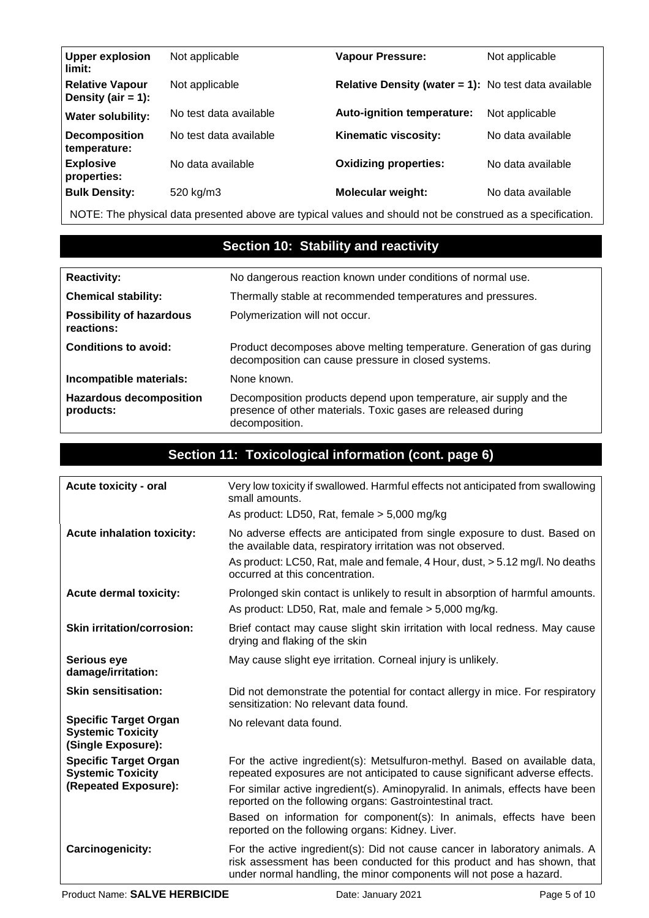| <b>Upper explosion</b><br>limit:                | Not applicable         | <b>Vapour Pressure:</b>                                     | Not applicable    |
|-------------------------------------------------|------------------------|-------------------------------------------------------------|-------------------|
| <b>Relative Vapour</b><br>Density (air $= 1$ ): | Not applicable         | <b>Relative Density (water = 1):</b> No test data available |                   |
| <b>Water solubility:</b>                        | No test data available | <b>Auto-ignition temperature:</b>                           | Not applicable    |
| <b>Decomposition</b><br>temperature:            | No test data available | Kinematic viscosity:                                        | No data available |
| <b>Explosive</b><br>properties:                 | No data available      | <b>Oxidizing properties:</b>                                | No data available |
| <b>Bulk Density:</b>                            | 520 kg/m3              | <b>Molecular weight:</b>                                    | No data available |

NOTE: The physical data presented above are typical values and should not be construed as a specification.

# **Section 10: Stability and reactivity**

| <b>Reactivity:</b>                            | No dangerous reaction known under conditions of normal use.                                                                                          |
|-----------------------------------------------|------------------------------------------------------------------------------------------------------------------------------------------------------|
| <b>Chemical stability:</b>                    | Thermally stable at recommended temperatures and pressures.                                                                                          |
| <b>Possibility of hazardous</b><br>reactions: | Polymerization will not occur.                                                                                                                       |
| <b>Conditions to avoid:</b>                   | Product decomposes above melting temperature. Generation of gas during<br>decomposition can cause pressure in closed systems.                        |
| Incompatible materials:                       | None known.                                                                                                                                          |
| <b>Hazardous decomposition</b><br>products:   | Decomposition products depend upon temperature, air supply and the<br>presence of other materials. Toxic gases are released during<br>decomposition. |

# **Section 11: Toxicological information (cont. page 6)**

| <b>Acute toxicity - oral</b>                                                     | Very low toxicity if swallowed. Harmful effects not anticipated from swallowing<br>small amounts.                                                                                                                                                                                                        |
|----------------------------------------------------------------------------------|----------------------------------------------------------------------------------------------------------------------------------------------------------------------------------------------------------------------------------------------------------------------------------------------------------|
|                                                                                  | As product: LD50, Rat, female > 5,000 mg/kg                                                                                                                                                                                                                                                              |
| <b>Acute inhalation toxicity:</b>                                                | No adverse effects are anticipated from single exposure to dust. Based on<br>the available data, respiratory irritation was not observed.                                                                                                                                                                |
|                                                                                  | As product: LC50, Rat, male and female, 4 Hour, dust, > 5.12 mg/l. No deaths<br>occurred at this concentration.                                                                                                                                                                                          |
| <b>Acute dermal toxicity:</b>                                                    | Prolonged skin contact is unlikely to result in absorption of harmful amounts.<br>As product: LD50, Rat, male and female > 5,000 mg/kg.                                                                                                                                                                  |
| <b>Skin irritation/corrosion:</b>                                                | Brief contact may cause slight skin irritation with local redness. May cause<br>drying and flaking of the skin                                                                                                                                                                                           |
| <b>Serious eye</b><br>damage/irritation:                                         | May cause slight eye irritation. Corneal injury is unlikely.                                                                                                                                                                                                                                             |
| <b>Skin sensitisation:</b>                                                       | Did not demonstrate the potential for contact allergy in mice. For respiratory<br>sensitization: No relevant data found.                                                                                                                                                                                 |
| <b>Specific Target Organ</b><br><b>Systemic Toxicity</b><br>(Single Exposure):   | No relevant data found.                                                                                                                                                                                                                                                                                  |
| <b>Specific Target Organ</b><br><b>Systemic Toxicity</b><br>(Repeated Exposure): | For the active ingredient(s): Metsulfuron-methyl. Based on available data,<br>repeated exposures are not anticipated to cause significant adverse effects.<br>For similar active ingredient(s). Aminopyralid. In animals, effects have been<br>reported on the following organs: Gastrointestinal tract. |
|                                                                                  | Based on information for component(s): In animals, effects have been<br>reported on the following organs: Kidney. Liver.                                                                                                                                                                                 |
| Carcinogenicity:                                                                 | For the active ingredient(s): Did not cause cancer in laboratory animals. A<br>risk assessment has been conducted for this product and has shown, that<br>under normal handling, the minor components will not pose a hazard.                                                                            |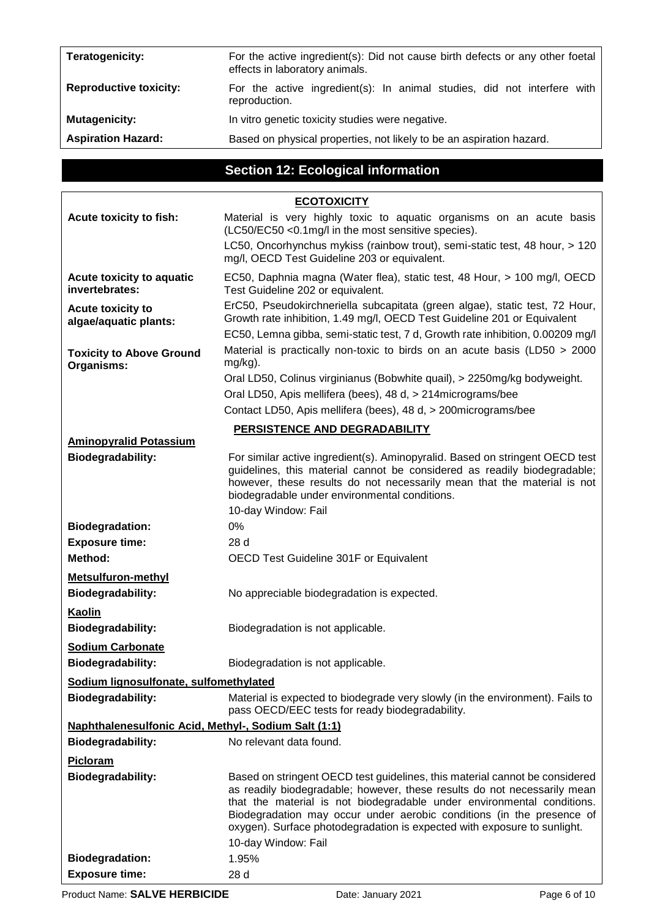| Teratogenicity:               | For the active ingredient(s): Did not cause birth defects or any other foetal<br>effects in laboratory animals. |  |
|-------------------------------|-----------------------------------------------------------------------------------------------------------------|--|
| <b>Reproductive toxicity:</b> | For the active ingredient(s): In animal studies, did not interfere with<br>reproduction.                        |  |
| <b>Mutagenicity:</b>          | In vitro genetic toxicity studies were negative.                                                                |  |
| <b>Aspiration Hazard:</b>     | Based on physical properties, not likely to be an aspiration hazard.                                            |  |

# **Section 12: Ecological information**

|                                                      | <b>ECOTOXICITY</b>                                                                                                                                                                                                                                                                                                                                                                                            |  |
|------------------------------------------------------|---------------------------------------------------------------------------------------------------------------------------------------------------------------------------------------------------------------------------------------------------------------------------------------------------------------------------------------------------------------------------------------------------------------|--|
| Acute toxicity to fish:                              | Material is very highly toxic to aquatic organisms on an acute basis<br>(LC50/EC50 < 0.1 mg/l in the most sensitive species).                                                                                                                                                                                                                                                                                 |  |
|                                                      | LC50, Oncorhynchus mykiss (rainbow trout), semi-static test, 48 hour, > 120<br>mg/l, OECD Test Guideline 203 or equivalent.                                                                                                                                                                                                                                                                                   |  |
| Acute toxicity to aquatic<br>invertebrates:          | EC50, Daphnia magna (Water flea), static test, 48 Hour, > 100 mg/l, OECD<br>Test Guideline 202 or equivalent.                                                                                                                                                                                                                                                                                                 |  |
| <b>Acute toxicity to</b><br>algae/aquatic plants:    | ErC50, Pseudokirchneriella subcapitata (green algae), static test, 72 Hour,<br>Growth rate inhibition, 1.49 mg/l, OECD Test Guideline 201 or Equivalent                                                                                                                                                                                                                                                       |  |
|                                                      | EC50, Lemna gibba, semi-static test, 7 d, Growth rate inhibition, 0.00209 mg/l                                                                                                                                                                                                                                                                                                                                |  |
| <b>Toxicity to Above Ground</b><br>Organisms:        | Material is practically non-toxic to birds on an acute basis (LD50 > 2000<br>mg/kg).                                                                                                                                                                                                                                                                                                                          |  |
|                                                      | Oral LD50, Colinus virginianus (Bobwhite quail), > 2250mg/kg bodyweight.                                                                                                                                                                                                                                                                                                                                      |  |
|                                                      | Oral LD50, Apis mellifera (bees), 48 d, > 214 micrograms/bee                                                                                                                                                                                                                                                                                                                                                  |  |
|                                                      | Contact LD50, Apis mellifera (bees), 48 d, > 200 micrograms/bee                                                                                                                                                                                                                                                                                                                                               |  |
|                                                      | PERSISTENCE AND DEGRADABILITY                                                                                                                                                                                                                                                                                                                                                                                 |  |
| <b>Aminopyralid Potassium</b>                        |                                                                                                                                                                                                                                                                                                                                                                                                               |  |
| Biodegradability:                                    | For similar active ingredient(s). Aminopyralid. Based on stringent OECD test<br>guidelines, this material cannot be considered as readily biodegradable;<br>however, these results do not necessarily mean that the material is not<br>biodegradable under environmental conditions.                                                                                                                          |  |
|                                                      | 10-day Window: Fail                                                                                                                                                                                                                                                                                                                                                                                           |  |
| <b>Biodegradation:</b>                               | 0%                                                                                                                                                                                                                                                                                                                                                                                                            |  |
| <b>Exposure time:</b>                                | 28 d                                                                                                                                                                                                                                                                                                                                                                                                          |  |
| <b>Method:</b>                                       | OECD Test Guideline 301F or Equivalent                                                                                                                                                                                                                                                                                                                                                                        |  |
| <b>Metsulfuron-methyl</b>                            |                                                                                                                                                                                                                                                                                                                                                                                                               |  |
| <b>Biodegradability:</b>                             | No appreciable biodegradation is expected.                                                                                                                                                                                                                                                                                                                                                                    |  |
| Kaolin                                               |                                                                                                                                                                                                                                                                                                                                                                                                               |  |
| <b>Biodegradability:</b>                             | Biodegradation is not applicable.                                                                                                                                                                                                                                                                                                                                                                             |  |
| <b>Sodium Carbonate</b>                              |                                                                                                                                                                                                                                                                                                                                                                                                               |  |
| <b>Biodegradability:</b>                             | Biodegradation is not applicable.                                                                                                                                                                                                                                                                                                                                                                             |  |
| Sodium lignosulfonate, sulfomethylated               |                                                                                                                                                                                                                                                                                                                                                                                                               |  |
| Biodegradability:                                    | Material is expected to biodegrade very slowly (in the environment). Fails to                                                                                                                                                                                                                                                                                                                                 |  |
|                                                      | pass OECD/EEC tests for ready biodegradability.                                                                                                                                                                                                                                                                                                                                                               |  |
| Naphthalenesulfonic Acid, Methyl-, Sodium Salt (1:1) |                                                                                                                                                                                                                                                                                                                                                                                                               |  |
| <b>Biodegradability:</b>                             | No relevant data found.                                                                                                                                                                                                                                                                                                                                                                                       |  |
| Picloram                                             |                                                                                                                                                                                                                                                                                                                                                                                                               |  |
| <b>Biodegradability:</b>                             | Based on stringent OECD test guidelines, this material cannot be considered<br>as readily biodegradable; however, these results do not necessarily mean<br>that the material is not biodegradable under environmental conditions.<br>Biodegradation may occur under aerobic conditions (in the presence of<br>oxygen). Surface photodegradation is expected with exposure to sunlight.<br>10-day Window: Fail |  |
| <b>Biodegradation:</b>                               | 1.95%                                                                                                                                                                                                                                                                                                                                                                                                         |  |
| <b>Exposure time:</b>                                | 28 d                                                                                                                                                                                                                                                                                                                                                                                                          |  |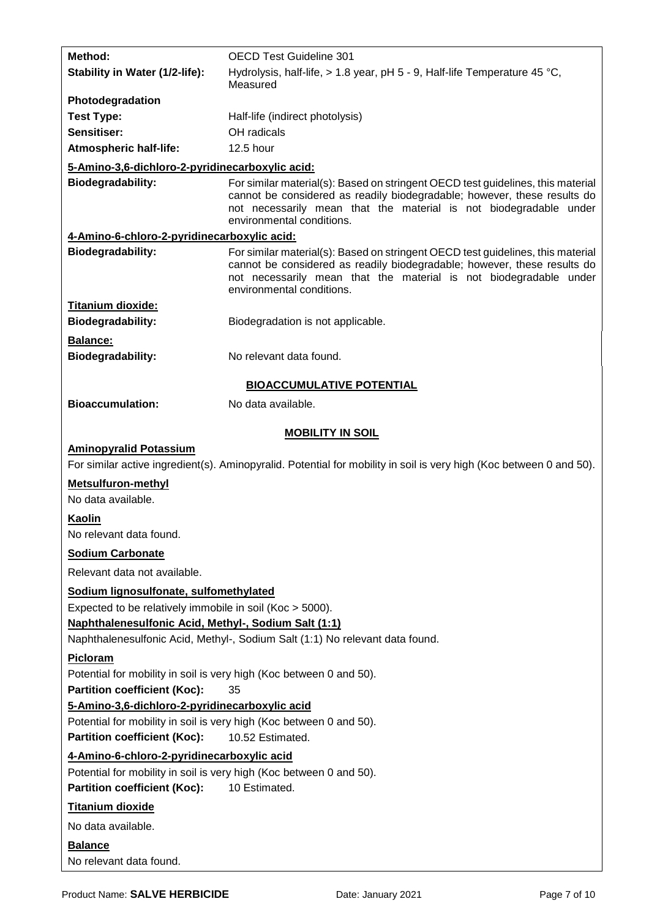| <b>Method:</b>                                                      | <b>OECD Test Guideline 301</b>                                                                                                                                                                                                                                |  |  |
|---------------------------------------------------------------------|---------------------------------------------------------------------------------------------------------------------------------------------------------------------------------------------------------------------------------------------------------------|--|--|
| Stability in Water (1/2-life):                                      | Hydrolysis, half-life, $> 1.8$ year, pH 5 - 9, Half-life Temperature 45 °C,<br>Measured                                                                                                                                                                       |  |  |
| Photodegradation                                                    |                                                                                                                                                                                                                                                               |  |  |
| <b>Test Type:</b>                                                   | Half-life (indirect photolysis)                                                                                                                                                                                                                               |  |  |
| Sensitiser:                                                         | OH radicals                                                                                                                                                                                                                                                   |  |  |
| <b>Atmospheric half-life:</b>                                       | 12.5 hour                                                                                                                                                                                                                                                     |  |  |
| 5-Amino-3,6-dichloro-2-pyridinecarboxylic acid:                     |                                                                                                                                                                                                                                                               |  |  |
| <b>Biodegradability:</b>                                            | For similar material(s): Based on stringent OECD test guidelines, this material<br>cannot be considered as readily biodegradable; however, these results do<br>not necessarily mean that the material is not biodegradable under<br>environmental conditions. |  |  |
| 4-Amino-6-chloro-2-pyridinecarboxylic acid:                         |                                                                                                                                                                                                                                                               |  |  |
| Biodegradability:                                                   | For similar material(s): Based on stringent OECD test guidelines, this material<br>cannot be considered as readily biodegradable; however, these results do<br>not necessarily mean that the material is not biodegradable under<br>environmental conditions. |  |  |
| <b>Titanium dioxide:</b>                                            |                                                                                                                                                                                                                                                               |  |  |
| <b>Biodegradability:</b>                                            | Biodegradation is not applicable.                                                                                                                                                                                                                             |  |  |
| Balance:<br><b>Biodegradability:</b>                                | No relevant data found.                                                                                                                                                                                                                                       |  |  |
|                                                                     | <b>BIOACCUMULATIVE POTENTIAL</b>                                                                                                                                                                                                                              |  |  |
| <b>Bioaccumulation:</b>                                             | No data available.                                                                                                                                                                                                                                            |  |  |
|                                                                     | <b>MOBILITY IN SOIL</b>                                                                                                                                                                                                                                       |  |  |
| <b>Aminopyralid Potassium</b>                                       |                                                                                                                                                                                                                                                               |  |  |
|                                                                     | For similar active ingredient(s). Aminopyralid. Potential for mobility in soil is very high (Koc between 0 and 50).                                                                                                                                           |  |  |
| <b>Metsulfuron-methyl</b>                                           |                                                                                                                                                                                                                                                               |  |  |
| No data available.                                                  |                                                                                                                                                                                                                                                               |  |  |
| Kaolin                                                              |                                                                                                                                                                                                                                                               |  |  |
| No relevant data found.                                             |                                                                                                                                                                                                                                                               |  |  |
| <b>Sodium Carbonate</b>                                             |                                                                                                                                                                                                                                                               |  |  |
| Relevant data not available.                                        |                                                                                                                                                                                                                                                               |  |  |
| Sodium lignosulfonate, sulfomethylated                              |                                                                                                                                                                                                                                                               |  |  |
| Expected to be relatively immobile in soil (Koc > 5000).            |                                                                                                                                                                                                                                                               |  |  |
| Naphthalenesulfonic Acid, Methyl-, Sodium Salt (1:1)                |                                                                                                                                                                                                                                                               |  |  |
|                                                                     | Naphthalenesulfonic Acid, Methyl-, Sodium Salt (1:1) No relevant data found.                                                                                                                                                                                  |  |  |
| <b>Picloram</b>                                                     |                                                                                                                                                                                                                                                               |  |  |
| Potential for mobility in soil is very high (Koc between 0 and 50). |                                                                                                                                                                                                                                                               |  |  |
| <b>Partition coefficient (Koc):</b>                                 | 35                                                                                                                                                                                                                                                            |  |  |
| 5-Amino-3,6-dichloro-2-pyridinecarboxylic acid                      |                                                                                                                                                                                                                                                               |  |  |
| Potential for mobility in soil is very high (Koc between 0 and 50). |                                                                                                                                                                                                                                                               |  |  |
| <b>Partition coefficient (Koc):</b>                                 | 10.52 Estimated.                                                                                                                                                                                                                                              |  |  |
| 4-Amino-6-chloro-2-pyridinecarboxylic acid                          |                                                                                                                                                                                                                                                               |  |  |
| Potential for mobility in soil is very high (Koc between 0 and 50). |                                                                                                                                                                                                                                                               |  |  |
| <b>Partition coefficient (Koc):</b>                                 | 10 Estimated.                                                                                                                                                                                                                                                 |  |  |
| <b>Titanium dioxide</b>                                             |                                                                                                                                                                                                                                                               |  |  |
| No data available.                                                  |                                                                                                                                                                                                                                                               |  |  |
| <b>Balance</b>                                                      |                                                                                                                                                                                                                                                               |  |  |
| No relevant data found.                                             |                                                                                                                                                                                                                                                               |  |  |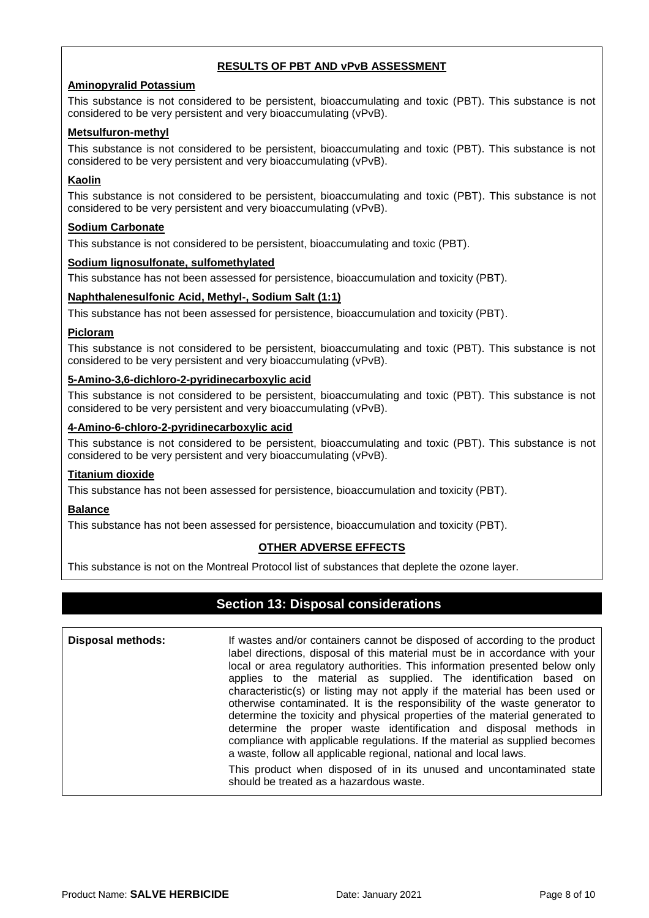#### **RESULTS OF PBT AND vPvB ASSESSMENT**

#### **Aminopyralid Potassium**

This substance is not considered to be persistent, bioaccumulating and toxic (PBT). This substance is not considered to be very persistent and very bioaccumulating (vPvB).

#### **Metsulfuron-methyl**

This substance is not considered to be persistent, bioaccumulating and toxic (PBT). This substance is not considered to be very persistent and very bioaccumulating (vPvB).

#### **Kaolin**

This substance is not considered to be persistent, bioaccumulating and toxic (PBT). This substance is not considered to be very persistent and very bioaccumulating (vPvB).

#### **Sodium Carbonate**

This substance is not considered to be persistent, bioaccumulating and toxic (PBT).

#### **Sodium lignosulfonate, sulfomethylated**

This substance has not been assessed for persistence, bioaccumulation and toxicity (PBT).

#### **Naphthalenesulfonic Acid, Methyl-, Sodium Salt (1:1)**

This substance has not been assessed for persistence, bioaccumulation and toxicity (PBT).

#### **Picloram**

This substance is not considered to be persistent, bioaccumulating and toxic (PBT). This substance is not considered to be very persistent and very bioaccumulating (vPvB).

### **5-Amino-3,6-dichloro-2-pyridinecarboxylic acid**

This substance is not considered to be persistent, bioaccumulating and toxic (PBT). This substance is not considered to be very persistent and very bioaccumulating (vPvB).

#### **4-Amino-6-chloro-2-pyridinecarboxylic acid**

This substance is not considered to be persistent, bioaccumulating and toxic (PBT). This substance is not considered to be very persistent and very bioaccumulating (vPvB).

#### **Titanium dioxide**

This substance has not been assessed for persistence, bioaccumulation and toxicity (PBT).

#### **Balance**

This substance has not been assessed for persistence, bioaccumulation and toxicity (PBT).

#### **OTHER ADVERSE EFFECTS**

This substance is not on the Montreal Protocol list of substances that deplete the ozone layer.

### **Section 13: Disposal considerations**

**Disposal methods:** If wastes and/or containers cannot be disposed of according to the product label directions, disposal of this material must be in accordance with your local or area regulatory authorities. This information presented below only applies to the material as supplied. The identification based on characteristic(s) or listing may not apply if the material has been used or otherwise contaminated. It is the responsibility of the waste generator to determine the toxicity and physical properties of the material generated to determine the proper waste identification and disposal methods in compliance with applicable regulations. If the material as supplied becomes a waste, follow all applicable regional, national and local laws. This product when disposed of in its unused and uncontaminated state should be treated as a hazardous waste.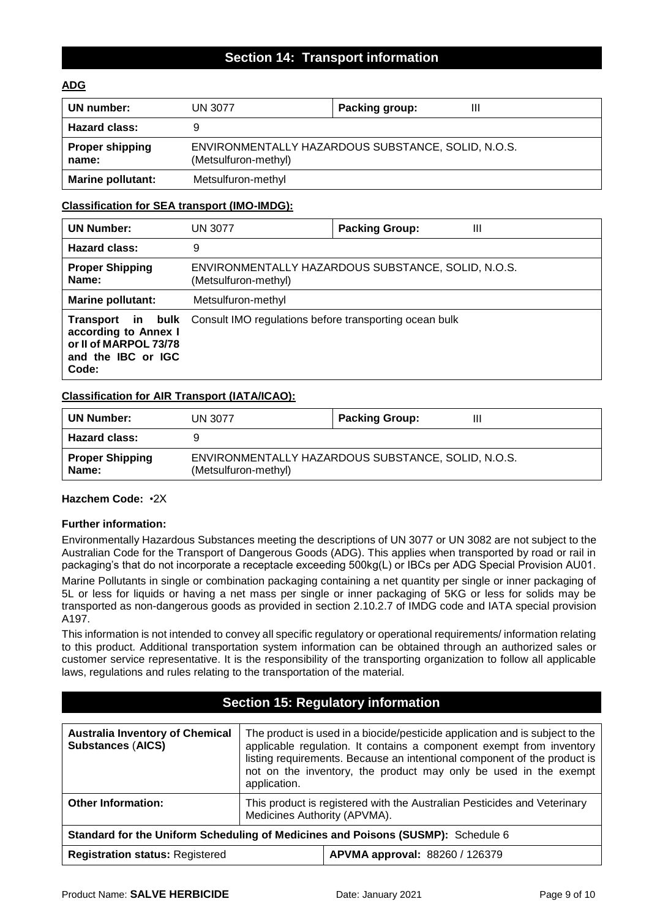### **Section 14: Transport information**

#### **ADG**

| UN number:                      | UN 3077                                                                    | Ш<br>Packing group: |  |
|---------------------------------|----------------------------------------------------------------------------|---------------------|--|
| <b>Hazard class:</b>            |                                                                            |                     |  |
| <b>Proper shipping</b><br>name: | ENVIRONMENTALLY HAZARDOUS SUBSTANCE, SOLID, N.O.S.<br>(Metsulfuron-methyl) |                     |  |
| <b>Marine pollutant:</b>        | Metsulfuron-methyl                                                         |                     |  |

#### **Classification for SEA transport (IMO-IMDG):**

| <b>UN Number:</b>                                                            | <b>UN 3077</b>                                                             | <b>Packing Group:</b><br>Ш |
|------------------------------------------------------------------------------|----------------------------------------------------------------------------|----------------------------|
| <b>Hazard class:</b>                                                         | 9                                                                          |                            |
| <b>Proper Shipping</b><br>Name:                                              | ENVIRONMENTALLY HAZARDOUS SUBSTANCE, SOLID, N.O.S.<br>(Metsulfuron-methyl) |                            |
| Marine pollutant:                                                            | Metsulfuron-methyl                                                         |                            |
| according to Annex I<br>or II of MARPOL 73/78<br>and the IBC or IGC<br>Code: | Transport in bulk Consult IMO regulations before transporting ocean bulk   |                            |

#### **Classification for AIR Transport (IATA/ICAO):**

| <b>UN Number:</b>               | UN 3077                                                                    | <b>Packing Group:</b><br>Ш |
|---------------------------------|----------------------------------------------------------------------------|----------------------------|
| <b>Hazard class:</b>            |                                                                            |                            |
| <b>Proper Shipping</b><br>Name: | ENVIRONMENTALLY HAZARDOUS SUBSTANCE, SOLID, N.O.S.<br>(Metsulfuron-methyl) |                            |

#### **Hazchem Code:** •2X

#### **Further information:**

Environmentally Hazardous Substances meeting the descriptions of UN 3077 or UN 3082 are not subject to the Australian Code for the Transport of Dangerous Goods (ADG). This applies when transported by road or rail in packaging's that do not incorporate a receptacle exceeding 500kg(L) or IBCs per ADG Special Provision AU01.

Marine Pollutants in single or combination packaging containing a net quantity per single or inner packaging of 5L or less for liquids or having a net mass per single or inner packaging of 5KG or less for solids may be transported as non-dangerous goods as provided in section 2.10.2.7 of IMDG code and IATA special provision A197.

This information is not intended to convey all specific regulatory or operational requirements/ information relating to this product. Additional transportation system information can be obtained through an authorized sales or customer service representative. It is the responsibility of the transporting organization to follow all applicable laws, regulations and rules relating to the transportation of the material.

# **Section 15: Regulatory information**

| <b>Australia Inventory of Chemical</b><br><b>Substances (AICS)</b>               | The product is used in a biocide/pesticide application and is subject to the<br>applicable regulation. It contains a component exempt from inventory<br>listing requirements. Because an intentional component of the product is<br>not on the inventory, the product may only be used in the exempt<br>application. |  |
|----------------------------------------------------------------------------------|----------------------------------------------------------------------------------------------------------------------------------------------------------------------------------------------------------------------------------------------------------------------------------------------------------------------|--|
| <b>Other Information:</b>                                                        | This product is registered with the Australian Pesticides and Veterinary<br>Medicines Authority (APVMA).                                                                                                                                                                                                             |  |
| Standard for the Uniform Scheduling of Medicines and Poisons (SUSMP): Schedule 6 |                                                                                                                                                                                                                                                                                                                      |  |
| <b>Registration status: Registered</b>                                           | APVMA approval: 88260 / 126379                                                                                                                                                                                                                                                                                       |  |